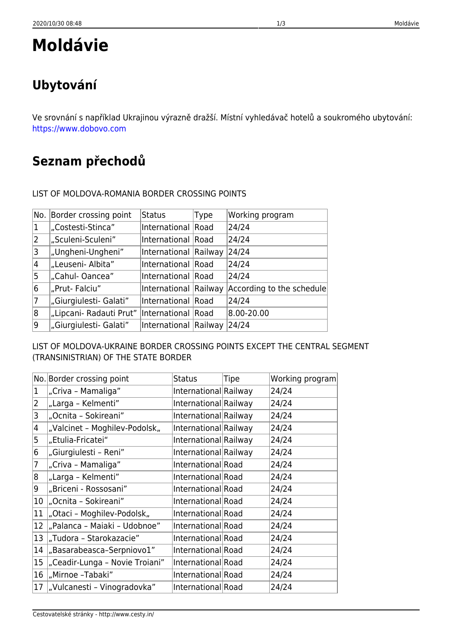### LIST OF MOLDOVA-ROMANIA BORDER CROSSING POINTS

| No.       | Border crossing point   | <b>Status</b>         | Type | Working program           |
|-----------|-------------------------|-----------------------|------|---------------------------|
| $\vert$ 1 | "Costesti-Stinca"       | International Road    |      | 24/24                     |
| 2         | "Sculeni-Sculeni"       | International Road    |      | 24/24                     |
| 3         | "Ungheni-Ungheni"       | International Railway |      | 24/24                     |
| 4         | "Leuseni- Albita"       | International Road    |      | 24/24                     |
| 5         | "Cahul-Oancea"          | International Road    |      | 24/24                     |
| 6         | "Prut-Falciu"           | International Railway |      | According to the schedule |
| 7         | "Giurgiulesti- Galati"  | International Road    |      | 24/24                     |
| 8         | "Lipcani- Radauti Prut" | International Road    |      | 8.00-20.00                |
| Ι9        | "Giurgiulesti- Galati"  | International Railway |      | 24/24                     |

LIST OF MOLDOVA-UKRAINE BORDER CROSSING POINTS EXCEPT THE CENTRAL SEGMENT (TRANSINISTRIAN) OF THE STATE BORDER

|                 | No. Border crossing point       | <b>Status</b>         | Tipe | Working program |
|-----------------|---------------------------------|-----------------------|------|-----------------|
| $\vert$ 1       | "Criva - Mamaliga"              | International Railway |      | 24/24           |
| 2               | "Larga - Kelmenti"              | International Railway |      | 24/24           |
| 3               | "Ocnita - Sokireani"            | International Railway |      | 24/24           |
| 4               | "Valcinet - Moghilev-Podolsk"   | International Railway |      | 24/24           |
| 5               | "Etulia-Fricatei"               | International Railway |      | 24/24           |
| 6               | "Giurgiulesti - Reni"           | International Railway |      | 24/24           |
| 7               | "Criva - Mamaliga"              | International Road    |      | 24/24           |
| 8               | "Larga - Kelmenti"              | International Road    |      | 24/24           |
| 9               | "Briceni - Rossosani"           | International Road    |      | 24/24           |
| 10 <sup>°</sup> | "Ocnita - Sokireani"            | International Road    |      | 24/24           |
| $ 11\rangle$    | "Otaci - Moghilev-Podolsk"      | International Road    |      | 24/24           |
| $ 12\rangle$    | "Palanca - Maiaki - Udobnoe"    | International Road    |      | 24/24           |
| 13              | "Tudora - Starokazacie"         | International Road    |      | 24/24           |
| 14              | "Basarabeasca-Serpniovo1"       | International Road    |      | 24/24           |
| $ 15\rangle$    | "Ceadir-Lunga - Novie Troiani"  | International Road    |      | 24/24           |
| 16              | "Mirnoe -Tabaki"                | International Road    |      | 24/24           |
|                 | 17  "Vulcanesti - Vinogradovka" | International Road    |      | 24/24           |

Ve srovnání s například Ukrajinou výrazně dražší. Místní vyhledávač hotelů a soukromého ubytování: <https://www.dobovo.com>

**Seznam přechodů**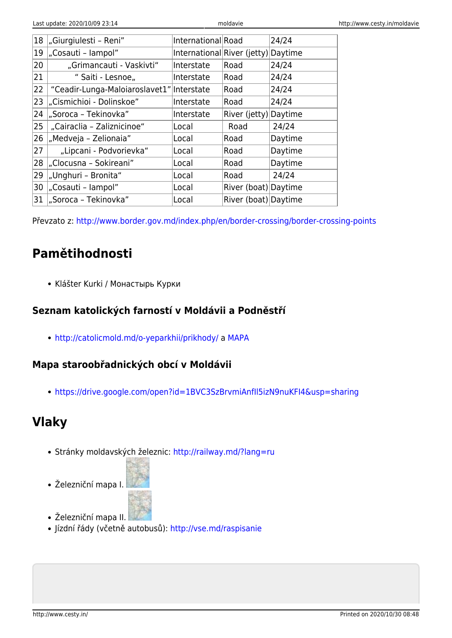| 18 | "Giurgiulesti - Reni"                     | International Road                  |                       | 24/24   |
|----|-------------------------------------------|-------------------------------------|-----------------------|---------|
| 19 | "Cosauti - lampol"                        | International River (jetty) Daytime |                       |         |
| 20 | "Grimancauti - Vaskivti"                  | Interstate                          | Road                  | 24/24   |
| 21 | " Saiti - Lesnoe,,                        | Interstate                          | Road                  | 24/24   |
| 22 | "Ceadir-Lunga-Maloiaroslavet1" Interstate |                                     | Road                  | 24/24   |
| 23 | "Cismichioi - Dolinskoe"                  | Interstate                          | Road                  | 24/24   |
| 24 | "Soroca – Tekinovka"                      | Interstate                          | River (jetty) Daytime |         |
| 25 | "Cairaclia - Zaliznicinoe"                | Local                               | Road                  | 24/24   |
| 26 | "Medveja – Zelionaia"                     | Local                               | Road                  | Daytime |
| 27 | "Lipcani - Podvorievka"                   | Local                               | Road                  | Daytime |
| 28 | "Clocusna - Sokireani"                    | Local                               | Road                  | Daytime |
| 29 | "Unghuri - Bronita"                       | Local                               | Road                  | 24/24   |
| 30 | "Cosauti - lampol"                        | Local                               | River (boat) Daytime  |         |
| 31 | "Soroca - Tekinovka"                      | Local                               | River (boat) Daytime  |         |
|    |                                           |                                     |                       |         |

Převzato z: <http://www.border.gov.md/index.php/en/border-crossing/border-crossing-points>

# **Pamětihodnosti**

Klášter Kurki / Монастырь Курки

## **Seznam katolických farností v Moldávii a Podněstří**

<http://catolicmold.md/o-yeparkhii/prikhody/>a [MAPA](https://drive.google.com/open?id=1M5ke7e1_KopJZfXrEk4Jkmuu2m4&usp=sharing)

### **Mapa staroobřadnických obcí v Moldávii**

<https://drive.google.com/open?id=1BVC3SzBrvmiAnfIl5izN9nuKFI4&usp=sharing>

# **Vlaky**

- Stránky moldavských železnic:<http://railway.md/?lang=ru>
- Železniční mapa I.



- Železniční mapa II.
- Jízdní řády (včetně autobusů):<http://vse.md/raspisanie>